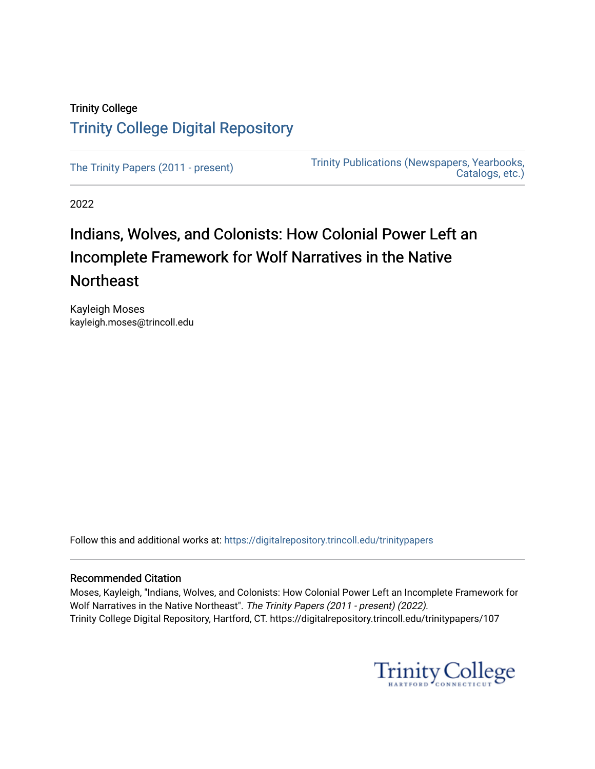## Trinity College [Trinity College Digital Repository](https://digitalrepository.trincoll.edu/)

[The Trinity Papers \(2011 - present\)](https://digitalrepository.trincoll.edu/trinitypapers) Trinity Publications (Newspapers, Yearbooks, [Catalogs, etc.\)](https://digitalrepository.trincoll.edu/publications) 

2022

# Indians, Wolves, and Colonists: How Colonial Power Left an Incomplete Framework for Wolf Narratives in the Native **Northeast**

Kayleigh Moses kayleigh.moses@trincoll.edu

Follow this and additional works at: [https://digitalrepository.trincoll.edu/trinitypapers](https://digitalrepository.trincoll.edu/trinitypapers?utm_source=digitalrepository.trincoll.edu%2Ftrinitypapers%2F107&utm_medium=PDF&utm_campaign=PDFCoverPages)

#### Recommended Citation

Moses, Kayleigh, "Indians, Wolves, and Colonists: How Colonial Power Left an Incomplete Framework for Wolf Narratives in the Native Northeast". The Trinity Papers (2011 - present) (2022). Trinity College Digital Repository, Hartford, CT. https://digitalrepository.trincoll.edu/trinitypapers/107

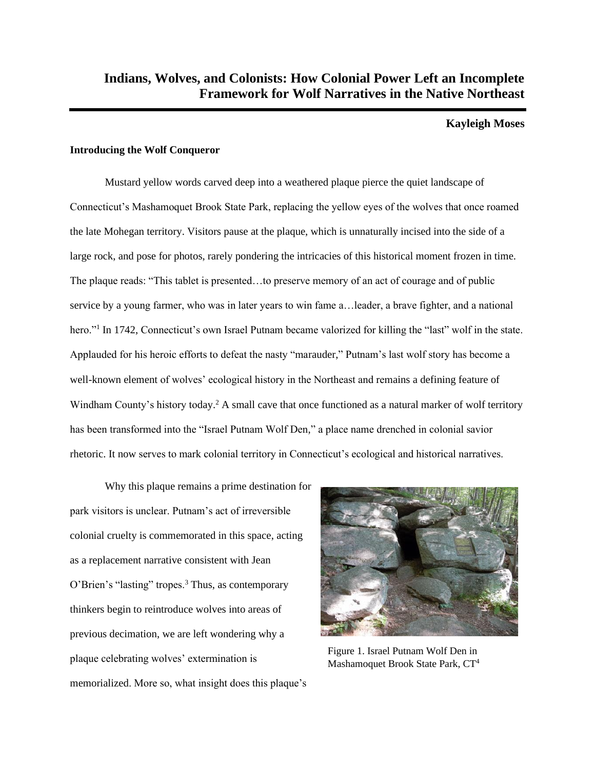#### **Kayleigh Moses**

#### **Introducing the Wolf Conqueror**

Mustard yellow words carved deep into a weathered plaque pierce the quiet landscape of Connecticut's Mashamoquet Brook State Park, replacing the yellow eyes of the wolves that once roamed the late Mohegan territory. Visitors pause at the plaque, which is unnaturally incised into the side of a large rock, and pose for photos, rarely pondering the intricacies of this historical moment frozen in time. The plaque reads: "This tablet is presented…to preserve memory of an act of courage and of public service by a young farmer, who was in later years to win fame a…leader, a brave fighter, and a national hero."<sup>1</sup> In 1742, Connecticut's own Israel Putnam became valorized for killing the "last" wolf in the state. Applauded for his heroic efforts to defeat the nasty "marauder," Putnam's last wolf story has become a well-known element of wolves' ecological history in the Northeast and remains a defining feature of Windham County's history today.<sup>2</sup> A small cave that once functioned as a natural marker of wolf territory has been transformed into the "Israel Putnam Wolf Den," a place name drenched in colonial savior rhetoric. It now serves to mark colonial territory in Connecticut's ecological and historical narratives.

Why this plaque remains a prime destination for park visitors is unclear. Putnam's act of irreversible colonial cruelty is commemorated in this space, acting as a replacement narrative consistent with Jean O'Brien's "lasting" tropes.<sup>3</sup> Thus, as contemporary thinkers begin to reintroduce wolves into areas of previous decimation, we are left wondering why a plaque celebrating wolves' extermination is memorialized. More so, what insight does this plaque's



Figure 1. Israel Putnam Wolf Den in Mashamoquet Brook State Park, CT4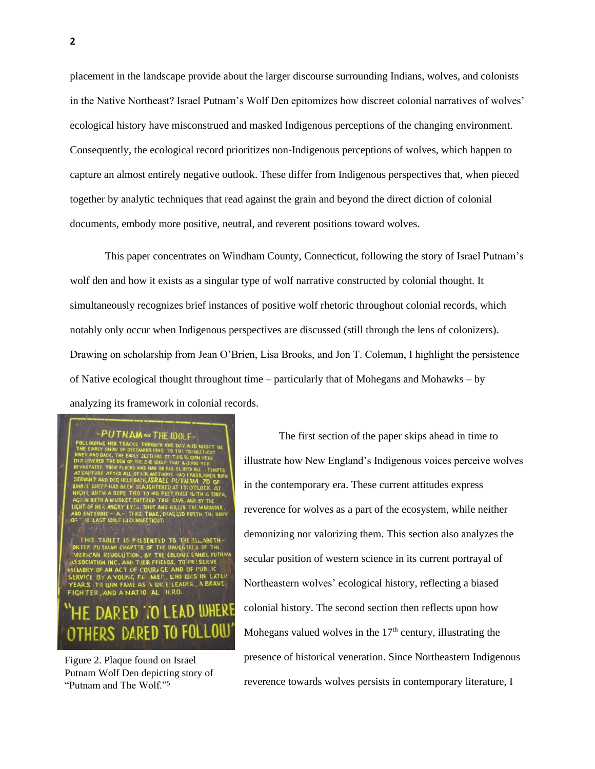placement in the landscape provide about the larger discourse surrounding Indians, wolves, and colonists in the Native Northeast? Israel Putnam's Wolf Den epitomizes how discreet colonial narratives of wolves' ecological history have misconstrued and masked Indigenous perceptions of the changing environment. Consequently, the ecological record prioritizes non-Indigenous perceptions of wolves, which happen to capture an almost entirely negative outlook. These differ from Indigenous perspectives that, when pieced together by analytic techniques that read against the grain and beyond the direct diction of colonial documents, embody more positive, neutral, and reverent positions toward wolves.

This paper concentrates on Windham County, Connecticut, following the story of Israel Putnam's wolf den and how it exists as a singular type of wolf narrative constructed by colonial thought. It simultaneously recognizes brief instances of positive wolf rhetoric throughout colonial records, which notably only occur when Indigenous perspectives are discussed (still through the lens of colonizers). Drawing on scholarship from Jean O'Brien, Lisa Brooks, and Jon T. Coleman, I highlight the persistence of Native ecological thought throughout time – particularly that of Mohegans and Mohawks – by analyzing its framework in colonial records.

TNAM W THE 100 F.

IS PRESENTED TO THE ELLABETH AND OF PUBLIC<br>WHO WAS IN LATER

Figure 2. Plaque found on Israel Putnam Wolf Den depicting story of "Putnam and The Wolf."5

The first section of the paper skips ahead in time to illustrate how New England's Indigenous voices perceive wolves in the contemporary era. These current attitudes express reverence for wolves as a part of the ecosystem, while neither demonizing nor valorizing them. This section also analyzes the secular position of western science in its current portrayal of Northeastern wolves' ecological history, reflecting a biased colonial history. The second section then reflects upon how Mohegans valued wolves in the  $17<sup>th</sup>$  century, illustrating the presence of historical veneration. Since Northeastern Indigenous reverence towards wolves persists in contemporary literature, I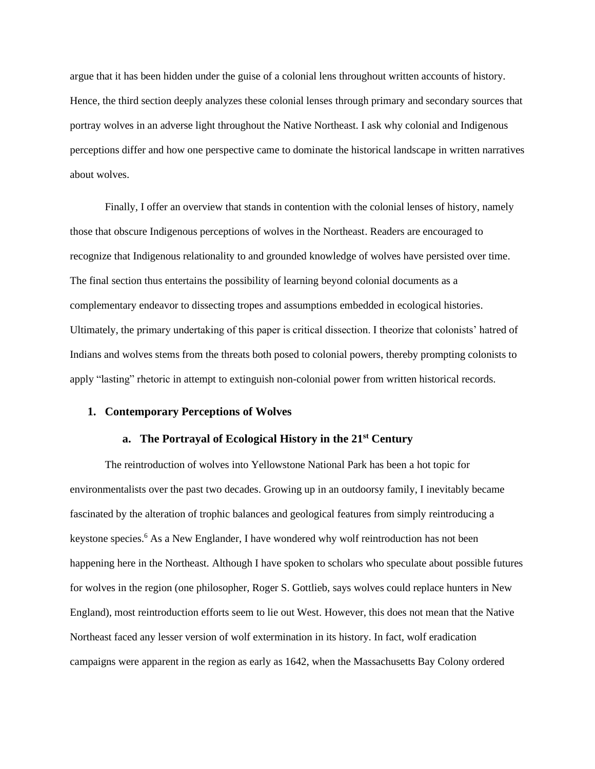argue that it has been hidden under the guise of a colonial lens throughout written accounts of history. Hence, the third section deeply analyzes these colonial lenses through primary and secondary sources that portray wolves in an adverse light throughout the Native Northeast. I ask why colonial and Indigenous perceptions differ and how one perspective came to dominate the historical landscape in written narratives about wolves.

Finally, I offer an overview that stands in contention with the colonial lenses of history, namely those that obscure Indigenous perceptions of wolves in the Northeast. Readers are encouraged to recognize that Indigenous relationality to and grounded knowledge of wolves have persisted over time. The final section thus entertains the possibility of learning beyond colonial documents as a complementary endeavor to dissecting tropes and assumptions embedded in ecological histories. Ultimately, the primary undertaking of this paper is critical dissection. I theorize that colonists' hatred of Indians and wolves stems from the threats both posed to colonial powers, thereby prompting colonists to apply "lasting" rhetoric in attempt to extinguish non-colonial power from written historical records.

#### **1. Contemporary Perceptions of Wolves**

#### **a. The Portrayal of Ecological History in the 21st Century**

The reintroduction of wolves into Yellowstone National Park has been a hot topic for environmentalists over the past two decades. Growing up in an outdoorsy family, I inevitably became fascinated by the alteration of trophic balances and geological features from simply reintroducing a keystone species.<sup>6</sup> As a New Englander, I have wondered why wolf reintroduction has not been happening here in the Northeast. Although I have spoken to scholars who speculate about possible futures for wolves in the region (one philosopher, Roger S. Gottlieb, says wolves could replace hunters in New England), most reintroduction efforts seem to lie out West. However, this does not mean that the Native Northeast faced any lesser version of wolf extermination in its history. In fact, wolf eradication campaigns were apparent in the region as early as 1642, when the Massachusetts Bay Colony ordered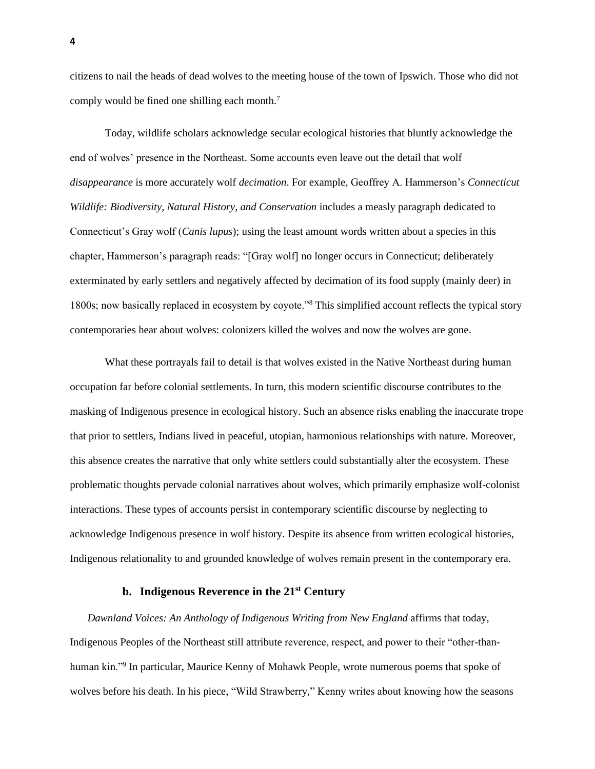citizens to nail the heads of dead wolves to the meeting house of the town of Ipswich. Those who did not comply would be fined one shilling each month.<sup>7</sup>

Today, wildlife scholars acknowledge secular ecological histories that bluntly acknowledge the end of wolves' presence in the Northeast. Some accounts even leave out the detail that wolf *disappearance* is more accurately wolf *decimation*. For example, Geoffrey A. Hammerson's *Connecticut Wildlife: Biodiversity, Natural History, and Conservation* includes a measly paragraph dedicated to Connecticut's Gray wolf (*Canis lupus*); using the least amount words written about a species in this chapter, Hammerson's paragraph reads: "[Gray wolf] no longer occurs in Connecticut; deliberately exterminated by early settlers and negatively affected by decimation of its food supply (mainly deer) in 1800s; now basically replaced in ecosystem by coyote."<sup>8</sup> This simplified account reflects the typical story contemporaries hear about wolves: colonizers killed the wolves and now the wolves are gone.

What these portrayals fail to detail is that wolves existed in the Native Northeast during human occupation far before colonial settlements. In turn, this modern scientific discourse contributes to the masking of Indigenous presence in ecological history. Such an absence risks enabling the inaccurate trope that prior to settlers, Indians lived in peaceful, utopian, harmonious relationships with nature. Moreover, this absence creates the narrative that only white settlers could substantially alter the ecosystem. These problematic thoughts pervade colonial narratives about wolves, which primarily emphasize wolf-colonist interactions. These types of accounts persist in contemporary scientific discourse by neglecting to acknowledge Indigenous presence in wolf history. Despite its absence from written ecological histories, Indigenous relationality to and grounded knowledge of wolves remain present in the contemporary era.

#### **b. Indigenous Reverence in the 21st Century**

*Dawnland Voices: An Anthology of Indigenous Writing from New England* affirms that today, Indigenous Peoples of the Northeast still attribute reverence, respect, and power to their "other-thanhuman kin."<sup>9</sup> In particular, Maurice Kenny of Mohawk People, wrote numerous poems that spoke of wolves before his death. In his piece, "Wild Strawberry," Kenny writes about knowing how the seasons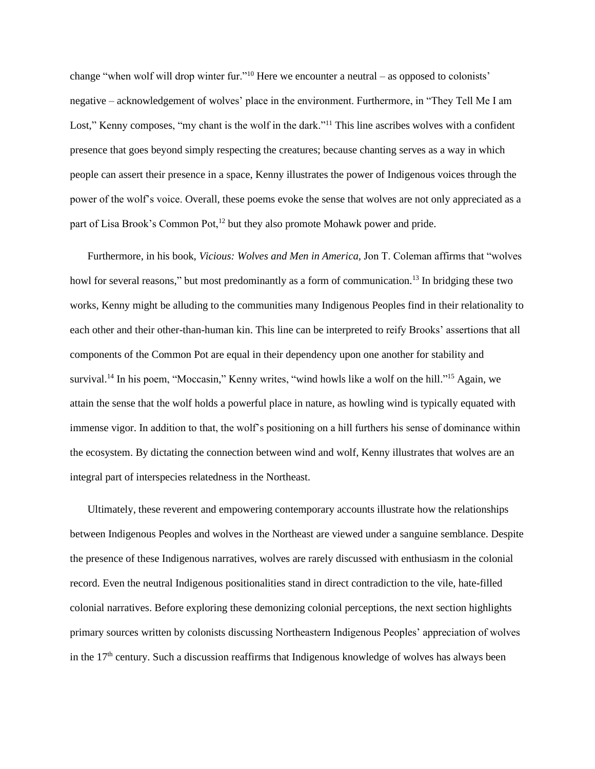change "when wolf will drop winter fur."<sup>10</sup> Here we encounter a neutral – as opposed to colonists' negative – acknowledgement of wolves' place in the environment. Furthermore, in "They Tell Me I am Lost," Kenny composes, "my chant is the wolf in the dark."<sup>11</sup> This line ascribes wolves with a confident presence that goes beyond simply respecting the creatures; because chanting serves as a way in which people can assert their presence in a space, Kenny illustrates the power of Indigenous voices through the power of the wolf's voice. Overall, these poems evoke the sense that wolves are not only appreciated as a part of Lisa Brook's Common Pot,<sup>12</sup> but they also promote Mohawk power and pride.

Furthermore, in his book, *Vicious: Wolves and Men in America,* Jon T. Coleman affirms that "wolves howl for several reasons," but most predominantly as a form of communication.<sup>13</sup> In bridging these two works, Kenny might be alluding to the communities many Indigenous Peoples find in their relationality to each other and their other-than-human kin. This line can be interpreted to reify Brooks' assertions that all components of the Common Pot are equal in their dependency upon one another for stability and survival.<sup>14</sup> In his poem, "Moccasin," Kenny writes, "wind howls like a wolf on the hill."<sup>15</sup> Again, we attain the sense that the wolf holds a powerful place in nature, as howling wind is typically equated with immense vigor. In addition to that, the wolf's positioning on a hill furthers his sense of dominance within the ecosystem. By dictating the connection between wind and wolf, Kenny illustrates that wolves are an integral part of interspecies relatedness in the Northeast.

Ultimately, these reverent and empowering contemporary accounts illustrate how the relationships between Indigenous Peoples and wolves in the Northeast are viewed under a sanguine semblance. Despite the presence of these Indigenous narratives, wolves are rarely discussed with enthusiasm in the colonial record. Even the neutral Indigenous positionalities stand in direct contradiction to the vile, hate-filled colonial narratives. Before exploring these demonizing colonial perceptions, the next section highlights primary sources written by colonists discussing Northeastern Indigenous Peoples' appreciation of wolves in the 17<sup>th</sup> century. Such a discussion reaffirms that Indigenous knowledge of wolves has always been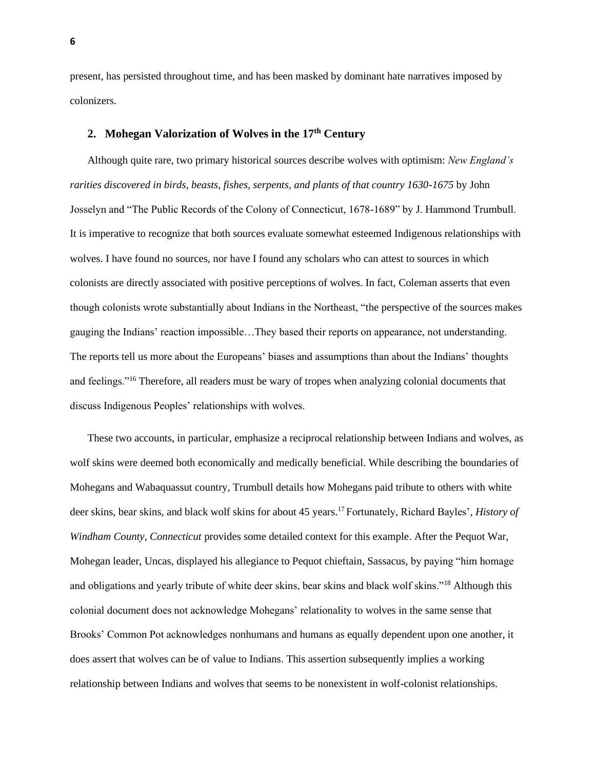present, has persisted throughout time, and has been masked by dominant hate narratives imposed by colonizers.

#### **2. Mohegan Valorization of Wolves in the 17th Century**

Although quite rare, two primary historical sources describe wolves with optimism: *New England's rarities discovered in birds, beasts, fishes, serpents, and plants of that country 1630-1675* by John Josselyn and "The Public Records of the Colony of Connecticut, 1678-1689" by J. Hammond Trumbull. It is imperative to recognize that both sources evaluate somewhat esteemed Indigenous relationships with wolves. I have found no sources, nor have I found any scholars who can attest to sources in which colonists are directly associated with positive perceptions of wolves. In fact, Coleman asserts that even though colonists wrote substantially about Indians in the Northeast, "the perspective of the sources makes gauging the Indians' reaction impossible…They based their reports on appearance, not understanding. The reports tell us more about the Europeans' biases and assumptions than about the Indians' thoughts and feelings."<sup>16</sup> Therefore, all readers must be wary of tropes when analyzing colonial documents that discuss Indigenous Peoples' relationships with wolves.

These two accounts, in particular, emphasize a reciprocal relationship between Indians and wolves, as wolf skins were deemed both economically and medically beneficial. While describing the boundaries of Mohegans and Wabaquassut country, Trumbull details how Mohegans paid tribute to others with white deer skins, bear skins, and black wolf skins for about 45 years. <sup>17</sup>Fortunately, Richard Bayles', *History of Windham County, Connecticut* provides some detailed context for this example. After the Pequot War, Mohegan leader, Uncas, displayed his allegiance to Pequot chieftain, Sassacus, by paying "him homage and obligations and yearly tribute of white deer skins, bear skins and black wolf skins."<sup>18</sup> Although this colonial document does not acknowledge Mohegans' relationality to wolves in the same sense that Brooks' Common Pot acknowledges nonhumans and humans as equally dependent upon one another, it does assert that wolves can be of value to Indians. This assertion subsequently implies a working relationship between Indians and wolves that seems to be nonexistent in wolf-colonist relationships.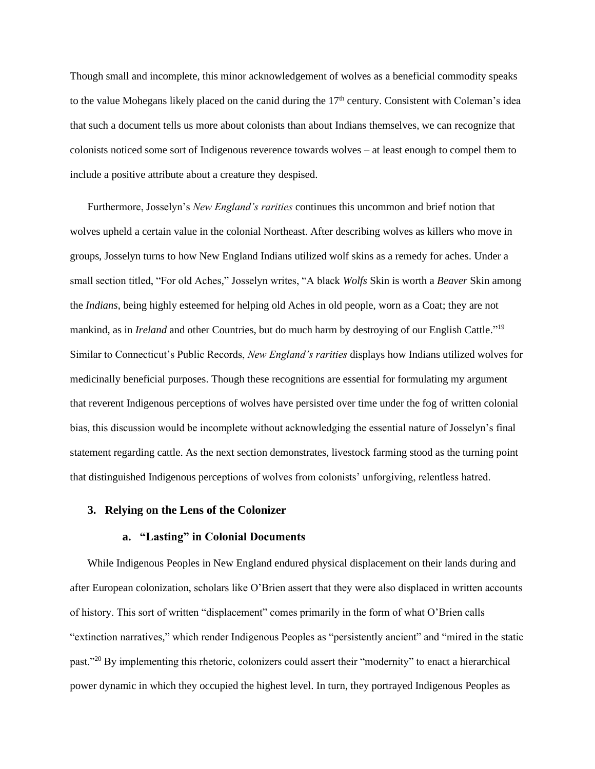Though small and incomplete, this minor acknowledgement of wolves as a beneficial commodity speaks to the value Mohegans likely placed on the canid during the  $17<sup>th</sup>$  century. Consistent with Coleman's idea that such a document tells us more about colonists than about Indians themselves, we can recognize that colonists noticed some sort of Indigenous reverence towards wolves – at least enough to compel them to include a positive attribute about a creature they despised.

Furthermore, Josselyn's *New England's rarities* continues this uncommon and brief notion that wolves upheld a certain value in the colonial Northeast. After describing wolves as killers who move in groups, Josselyn turns to how New England Indians utilized wolf skins as a remedy for aches. Under a small section titled, "For old Aches," Josselyn writes, "A black *Wolfs* Skin is worth a *Beaver* Skin among the *Indians*, being highly esteemed for helping old Aches in old people, worn as a Coat; they are not mankind, as in *Ireland* and other Countries, but do much harm by destroying of our English Cattle."<sup>19</sup> Similar to Connecticut's Public Records, *New England's rarities* displays how Indians utilized wolves for medicinally beneficial purposes. Though these recognitions are essential for formulating my argument that reverent Indigenous perceptions of wolves have persisted over time under the fog of written colonial bias, this discussion would be incomplete without acknowledging the essential nature of Josselyn's final statement regarding cattle. As the next section demonstrates, livestock farming stood as the turning point that distinguished Indigenous perceptions of wolves from colonists' unforgiving, relentless hatred.

#### **3. Relying on the Lens of the Colonizer**

#### **a. "Lasting" in Colonial Documents**

While Indigenous Peoples in New England endured physical displacement on their lands during and after European colonization, scholars like O'Brien assert that they were also displaced in written accounts of history. This sort of written "displacement" comes primarily in the form of what O'Brien calls "extinction narratives," which render Indigenous Peoples as "persistently ancient" and "mired in the static past."<sup>20</sup> By implementing this rhetoric, colonizers could assert their "modernity" to enact a hierarchical power dynamic in which they occupied the highest level. In turn, they portrayed Indigenous Peoples as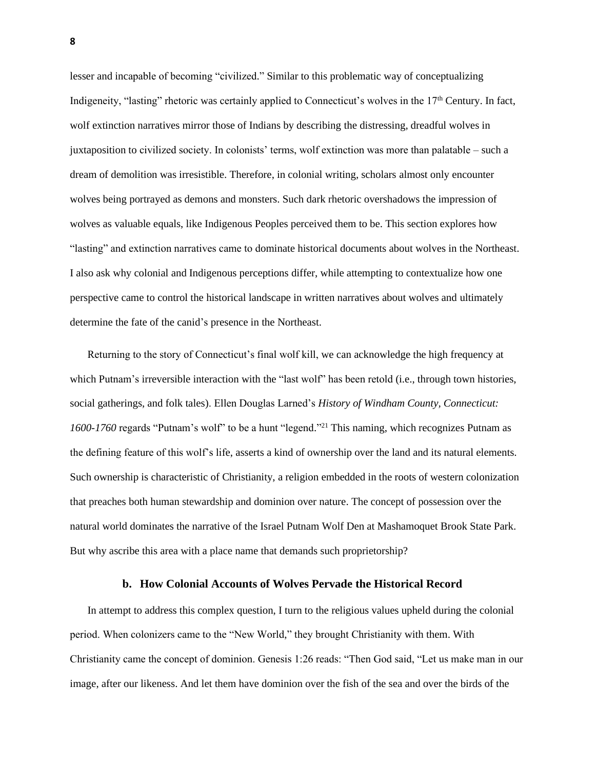lesser and incapable of becoming "civilized." Similar to this problematic way of conceptualizing Indigeneity, "lasting" rhetoric was certainly applied to Connecticut's wolves in the 17<sup>th</sup> Century. In fact, wolf extinction narratives mirror those of Indians by describing the distressing, dreadful wolves in juxtaposition to civilized society. In colonists' terms, wolf extinction was more than palatable – such a dream of demolition was irresistible. Therefore, in colonial writing, scholars almost only encounter wolves being portrayed as demons and monsters. Such dark rhetoric overshadows the impression of wolves as valuable equals, like Indigenous Peoples perceived them to be. This section explores how "lasting" and extinction narratives came to dominate historical documents about wolves in the Northeast. I also ask why colonial and Indigenous perceptions differ, while attempting to contextualize how one perspective came to control the historical landscape in written narratives about wolves and ultimately determine the fate of the canid's presence in the Northeast.

Returning to the story of Connecticut's final wolf kill, we can acknowledge the high frequency at which Putnam's irreversible interaction with the "last wolf" has been retold (i.e., through town histories, social gatherings, and folk tales). Ellen Douglas Larned's *History of Windham County, Connecticut: 1600-1760* regards "Putnam's wolf" to be a hunt "legend." <sup>21</sup> This naming, which recognizes Putnam as the defining feature of this wolf's life, asserts a kind of ownership over the land and its natural elements. Such ownership is characteristic of Christianity, a religion embedded in the roots of western colonization that preaches both human stewardship and dominion over nature. The concept of possession over the natural world dominates the narrative of the Israel Putnam Wolf Den at Mashamoquet Brook State Park. But why ascribe this area with a place name that demands such proprietorship?

#### **b. How Colonial Accounts of Wolves Pervade the Historical Record**

In attempt to address this complex question, I turn to the religious values upheld during the colonial period. When colonizers came to the "New World," they brought Christianity with them. With Christianity came the concept of dominion. Genesis 1:26 reads: "Then God said, "Let us make man in our image, after our likeness. And let them have dominion over the fish of the sea and over the birds of the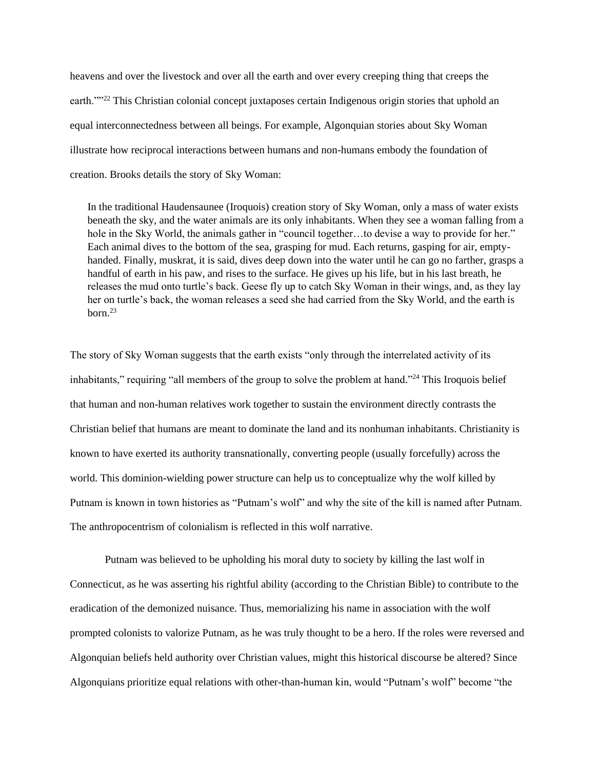heavens and over the livestock and over all the earth and over every creeping thing that creeps the earth.""<sup>22</sup> This Christian colonial concept juxtaposes certain Indigenous origin stories that uphold an equal interconnectedness between all beings. For example, Algonquian stories about Sky Woman illustrate how reciprocal interactions between humans and non-humans embody the foundation of creation. Brooks details the story of Sky Woman:

In the traditional Haudensaunee (Iroquois) creation story of Sky Woman, only a mass of water exists beneath the sky, and the water animals are its only inhabitants. When they see a woman falling from a hole in the Sky World, the animals gather in "council together...to devise a way to provide for her." Each animal dives to the bottom of the sea, grasping for mud. Each returns, gasping for air, emptyhanded. Finally, muskrat, it is said, dives deep down into the water until he can go no farther, grasps a handful of earth in his paw, and rises to the surface. He gives up his life, but in his last breath, he releases the mud onto turtle's back. Geese fly up to catch Sky Woman in their wings, and, as they lay her on turtle's back, the woman releases a seed she had carried from the Sky World, and the earth is born. 23

The story of Sky Woman suggests that the earth exists "only through the interrelated activity of its inhabitants," requiring "all members of the group to solve the problem at hand."<sup>24</sup> This Iroquois belief that human and non-human relatives work together to sustain the environment directly contrasts the Christian belief that humans are meant to dominate the land and its nonhuman inhabitants. Christianity is known to have exerted its authority transnationally, converting people (usually forcefully) across the world. This dominion-wielding power structure can help us to conceptualize why the wolf killed by Putnam is known in town histories as "Putnam's wolf" and why the site of the kill is named after Putnam. The anthropocentrism of colonialism is reflected in this wolf narrative.

Putnam was believed to be upholding his moral duty to society by killing the last wolf in Connecticut, as he was asserting his rightful ability (according to the Christian Bible) to contribute to the eradication of the demonized nuisance. Thus, memorializing his name in association with the wolf prompted colonists to valorize Putnam, as he was truly thought to be a hero. If the roles were reversed and Algonquian beliefs held authority over Christian values, might this historical discourse be altered? Since Algonquians prioritize equal relations with other-than-human kin, would "Putnam's wolf" become "the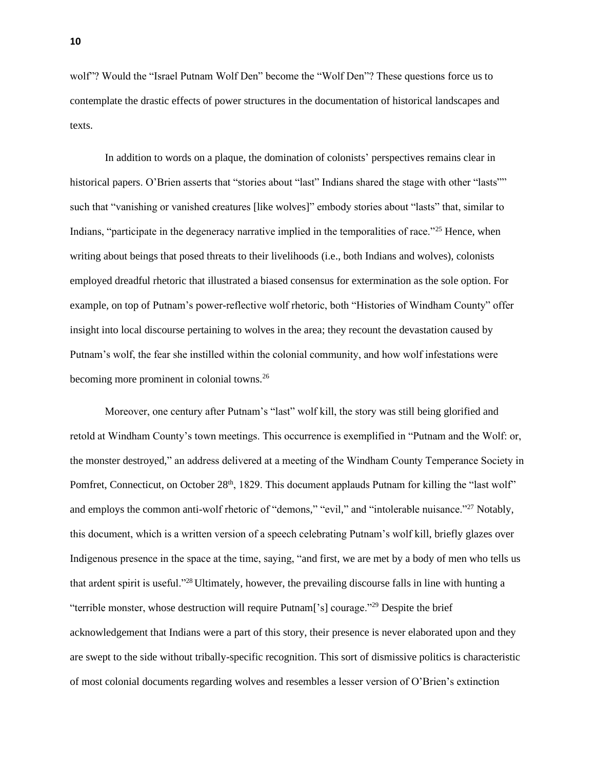wolf"? Would the "Israel Putnam Wolf Den" become the "Wolf Den"? These questions force us to contemplate the drastic effects of power structures in the documentation of historical landscapes and texts.

In addition to words on a plaque, the domination of colonists' perspectives remains clear in historical papers. O'Brien asserts that "stories about "last" Indians shared the stage with other "lasts"" such that "vanishing or vanished creatures [like wolves]" embody stories about "lasts" that, similar to Indians, "participate in the degeneracy narrative implied in the temporalities of race."<sup>25</sup> Hence, when writing about beings that posed threats to their livelihoods (i.e., both Indians and wolves), colonists employed dreadful rhetoric that illustrated a biased consensus for extermination as the sole option. For example, on top of Putnam's power-reflective wolf rhetoric, both "Histories of Windham County" offer insight into local discourse pertaining to wolves in the area; they recount the devastation caused by Putnam's wolf, the fear she instilled within the colonial community, and how wolf infestations were becoming more prominent in colonial towns.<sup>26</sup>

Moreover, one century after Putnam's "last" wolf kill, the story was still being glorified and retold at Windham County's town meetings. This occurrence is exemplified in "Putnam and the Wolf: or, the monster destroyed," an address delivered at a meeting of the Windham County Temperance Society in Pomfret, Connecticut, on October  $28<sup>th</sup>$ , 1829. This document applauds Putnam for killing the "last wolf" and employs the common anti-wolf rhetoric of "demons," "evil," and "intolerable nuisance."<sup>27</sup> Notably, this document, which is a written version of a speech celebrating Putnam's wolf kill, briefly glazes over Indigenous presence in the space at the time, saying, "and first, we are met by a body of men who tells us that ardent spirit is useful."<sup>28</sup>Ultimately, however, the prevailing discourse falls in line with hunting a "terrible monster, whose destruction will require Putnam['s] courage."<sup>29</sup> Despite the brief acknowledgement that Indians were a part of this story, their presence is never elaborated upon and they are swept to the side without tribally-specific recognition. This sort of dismissive politics is characteristic of most colonial documents regarding wolves and resembles a lesser version of O'Brien's extinction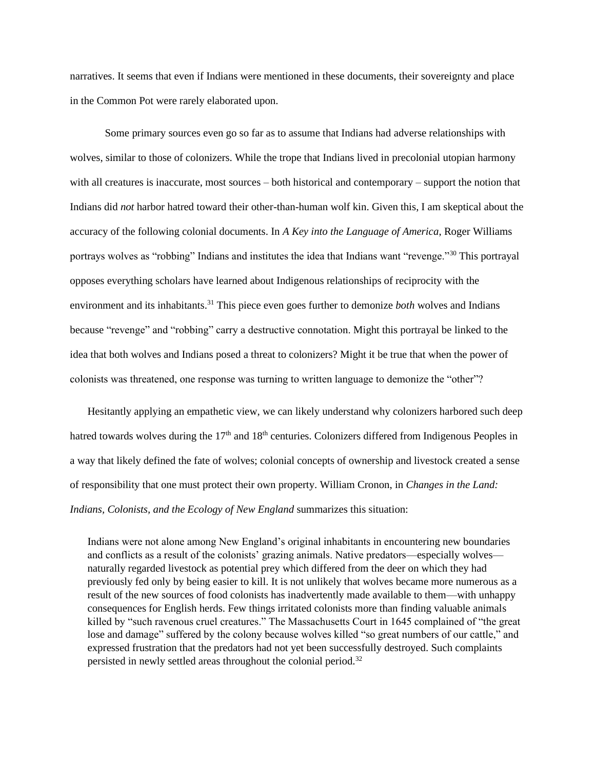narratives. It seems that even if Indians were mentioned in these documents, their sovereignty and place in the Common Pot were rarely elaborated upon.

Some primary sources even go so far as to assume that Indians had adverse relationships with wolves, similar to those of colonizers. While the trope that Indians lived in precolonial utopian harmony with all creatures is inaccurate, most sources – both historical and contemporary – support the notion that Indians did *not* harbor hatred toward their other-than-human wolf kin. Given this, I am skeptical about the accuracy of the following colonial documents. In *A Key into the Language of America*, Roger Williams portrays wolves as "robbing" Indians and institutes the idea that Indians want "revenge."<sup>30</sup> This portrayal opposes everything scholars have learned about Indigenous relationships of reciprocity with the environment and its inhabitants.<sup>31</sup> This piece even goes further to demonize *both* wolves and Indians because "revenge" and "robbing" carry a destructive connotation. Might this portrayal be linked to the idea that both wolves and Indians posed a threat to colonizers? Might it be true that when the power of colonists was threatened, one response was turning to written language to demonize the "other"?

Hesitantly applying an empathetic view, we can likely understand why colonizers harbored such deep hatred towards wolves during the  $17<sup>th</sup>$  and  $18<sup>th</sup>$  centuries. Colonizers differed from Indigenous Peoples in a way that likely defined the fate of wolves; colonial concepts of ownership and livestock created a sense of responsibility that one must protect their own property. William Cronon, in *Changes in the Land: Indians, Colonists, and the Ecology of New England* summarizes this situation:

Indians were not alone among New England's original inhabitants in encountering new boundaries and conflicts as a result of the colonists' grazing animals. Native predators—especially wolves naturally regarded livestock as potential prey which differed from the deer on which they had previously fed only by being easier to kill. It is not unlikely that wolves became more numerous as a result of the new sources of food colonists has inadvertently made available to them—with unhappy consequences for English herds. Few things irritated colonists more than finding valuable animals killed by "such ravenous cruel creatures." The Massachusetts Court in 1645 complained of "the great lose and damage" suffered by the colony because wolves killed "so great numbers of our cattle," and expressed frustration that the predators had not yet been successfully destroyed. Such complaints persisted in newly settled areas throughout the colonial period.32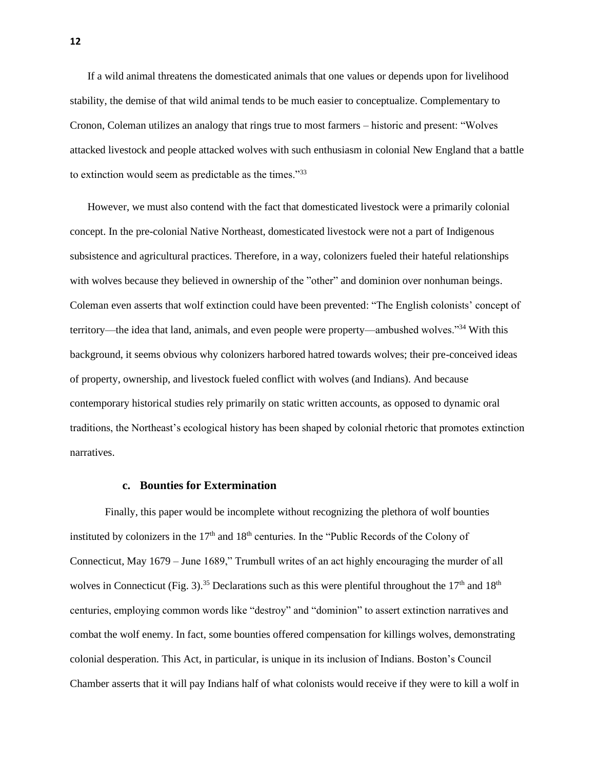If a wild animal threatens the domesticated animals that one values or depends upon for livelihood stability, the demise of that wild animal tends to be much easier to conceptualize. Complementary to Cronon, Coleman utilizes an analogy that rings true to most farmers – historic and present: "Wolves attacked livestock and people attacked wolves with such enthusiasm in colonial New England that a battle to extinction would seem as predictable as the times."<sup>33</sup>

However, we must also contend with the fact that domesticated livestock were a primarily colonial concept. In the pre-colonial Native Northeast, domesticated livestock were not a part of Indigenous subsistence and agricultural practices. Therefore, in a way, colonizers fueled their hateful relationships with wolves because they believed in ownership of the "other" and dominion over nonhuman beings. Coleman even asserts that wolf extinction could have been prevented: "The English colonists' concept of territory—the idea that land, animals, and even people were property—ambushed wolves."<sup>34</sup> With this background, it seems obvious why colonizers harbored hatred towards wolves; their pre-conceived ideas of property, ownership, and livestock fueled conflict with wolves (and Indians). And because contemporary historical studies rely primarily on static written accounts, as opposed to dynamic oral traditions, the Northeast's ecological history has been shaped by colonial rhetoric that promotes extinction narratives.

#### **c. Bounties for Extermination**

Finally, this paper would be incomplete without recognizing the plethora of wolf bounties instituted by colonizers in the  $17<sup>th</sup>$  and  $18<sup>th</sup>$  centuries. In the "Public Records of the Colony of Connecticut, May 1679 – June 1689," Trumbull writes of an act highly encouraging the murder of all wolves in Connecticut (Fig. 3).<sup>35</sup> Declarations such as this were plentiful throughout the  $17<sup>th</sup>$  and  $18<sup>th</sup>$ centuries, employing common words like "destroy" and "dominion" to assert extinction narratives and combat the wolf enemy. In fact, some bounties offered compensation for killings wolves, demonstrating colonial desperation. This Act, in particular, is unique in its inclusion of Indians. Boston's Council Chamber asserts that it will pay Indians half of what colonists would receive if they were to kill a wolf in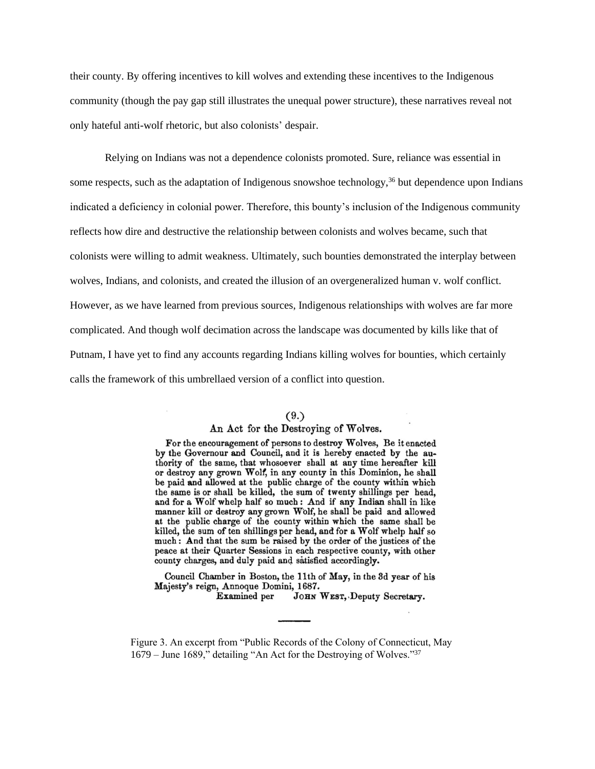their county. By offering incentives to kill wolves and extending these incentives to the Indigenous community (though the pay gap still illustrates the unequal power structure), these narratives reveal not only hateful anti-wolf rhetoric, but also colonists' despair.

Relying on Indians was not a dependence colonists promoted. Sure, reliance was essential in some respects, such as the adaptation of Indigenous snowshoe technology,  $36$  but dependence upon Indians indicated a deficiency in colonial power. Therefore, this bounty's inclusion of the Indigenous community reflects how dire and destructive the relationship between colonists and wolves became, such that colonists were willing to admit weakness. Ultimately, such bounties demonstrated the interplay between wolves, Indians, and colonists, and created the illusion of an overgeneralized human v. wolf conflict. However, as we have learned from previous sources, Indigenous relationships with wolves are far more complicated. And though wolf decimation across the landscape was documented by kills like that of Putnam, I have yet to find any accounts regarding Indians killing wolves for bounties, which certainly calls the framework of this umbrellaed version of a conflict into question.

#### $(9.)$

#### An Act for the Destroying of Wolves.

For the encouragement of persons to destroy Wolves, Be it enacted by the Governour and Council, and it is hereby enacted by the authority of the same, that whosoever shall at any time hereafter kill or destroy any grown Wolf, in any county in this Dominion, he shall be paid and allowed at the public charge of the county within which the same is or shall be killed, the sum of twenty shillings per head, and for a Wolf whelp half so much: And if any Indian shall in like manner kill or destroy any grown Wolf, he shall be paid and allowed at the public charge of the county within which the same shall be killed, the sum of ten shillings per head, and for a Wolf whelp half so much: And that the sum be raised by the order of the justices of the peace at their Quarter Sessions in each respective county, with other county charges, and duly paid and satisfied accordingly.

Council Chamber in Boston, the 11th of May, in the 3d year of his Majesty's reign, Annoque Domini, 1687.

Examined per JOHN WEST, Deputy Secretary.

Figure 3. An excerpt from "Public Records of the Colony of Connecticut, May 1679 – June 1689," detailing "An Act for the Destroying of Wolves."<sup>37</sup>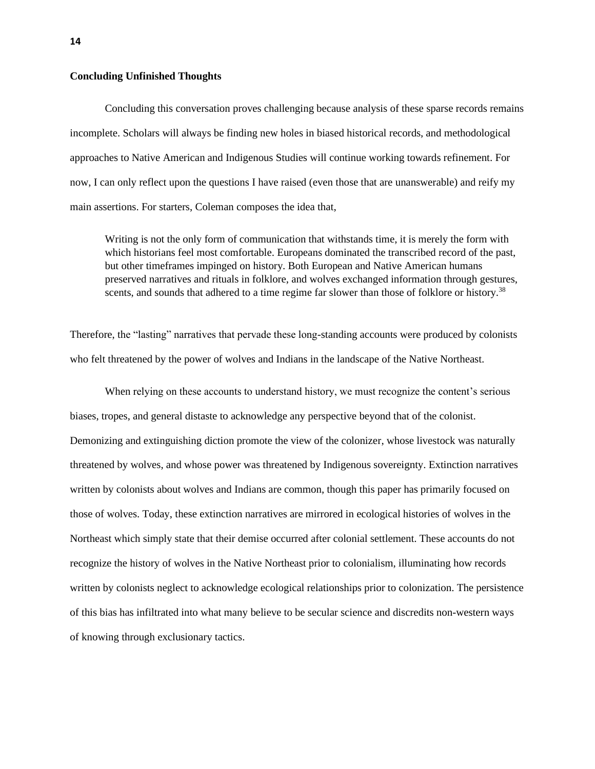#### **Concluding Unfinished Thoughts**

Concluding this conversation proves challenging because analysis of these sparse records remains incomplete. Scholars will always be finding new holes in biased historical records, and methodological approaches to Native American and Indigenous Studies will continue working towards refinement. For now, I can only reflect upon the questions I have raised (even those that are unanswerable) and reify my main assertions. For starters, Coleman composes the idea that,

Writing is not the only form of communication that withstands time, it is merely the form with which historians feel most comfortable. Europeans dominated the transcribed record of the past, but other timeframes impinged on history. Both European and Native American humans preserved narratives and rituals in folklore, and wolves exchanged information through gestures, scents, and sounds that adhered to a time regime far slower than those of folklore or history.<sup>38</sup>

Therefore, the "lasting" narratives that pervade these long-standing accounts were produced by colonists who felt threatened by the power of wolves and Indians in the landscape of the Native Northeast.

When relying on these accounts to understand history, we must recognize the content's serious biases, tropes, and general distaste to acknowledge any perspective beyond that of the colonist. Demonizing and extinguishing diction promote the view of the colonizer, whose livestock was naturally threatened by wolves, and whose power was threatened by Indigenous sovereignty. Extinction narratives written by colonists about wolves and Indians are common, though this paper has primarily focused on those of wolves. Today, these extinction narratives are mirrored in ecological histories of wolves in the Northeast which simply state that their demise occurred after colonial settlement. These accounts do not recognize the history of wolves in the Native Northeast prior to colonialism, illuminating how records written by colonists neglect to acknowledge ecological relationships prior to colonization. The persistence of this bias has infiltrated into what many believe to be secular science and discredits non-western ways of knowing through exclusionary tactics.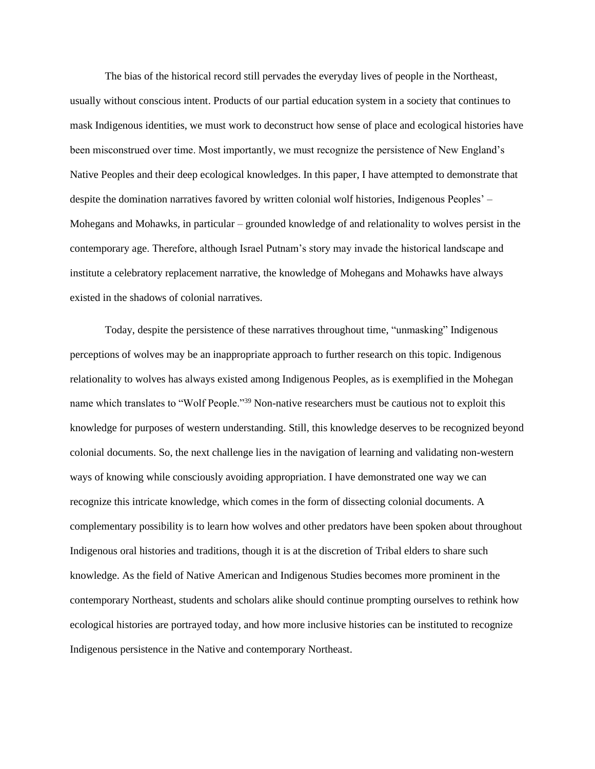The bias of the historical record still pervades the everyday lives of people in the Northeast, usually without conscious intent. Products of our partial education system in a society that continues to mask Indigenous identities, we must work to deconstruct how sense of place and ecological histories have been misconstrued over time. Most importantly, we must recognize the persistence of New England's Native Peoples and their deep ecological knowledges. In this paper, I have attempted to demonstrate that despite the domination narratives favored by written colonial wolf histories, Indigenous Peoples' – Mohegans and Mohawks, in particular – grounded knowledge of and relationality to wolves persist in the contemporary age. Therefore, although Israel Putnam's story may invade the historical landscape and institute a celebratory replacement narrative, the knowledge of Mohegans and Mohawks have always existed in the shadows of colonial narratives.

Today, despite the persistence of these narratives throughout time, "unmasking" Indigenous perceptions of wolves may be an inappropriate approach to further research on this topic. Indigenous relationality to wolves has always existed among Indigenous Peoples, as is exemplified in the Mohegan name which translates to "Wolf People."<sup>39</sup> Non-native researchers must be cautious not to exploit this knowledge for purposes of western understanding. Still, this knowledge deserves to be recognized beyond colonial documents. So, the next challenge lies in the navigation of learning and validating non-western ways of knowing while consciously avoiding appropriation. I have demonstrated one way we can recognize this intricate knowledge, which comes in the form of dissecting colonial documents. A complementary possibility is to learn how wolves and other predators have been spoken about throughout Indigenous oral histories and traditions, though it is at the discretion of Tribal elders to share such knowledge. As the field of Native American and Indigenous Studies becomes more prominent in the contemporary Northeast, students and scholars alike should continue prompting ourselves to rethink how ecological histories are portrayed today, and how more inclusive histories can be instituted to recognize Indigenous persistence in the Native and contemporary Northeast.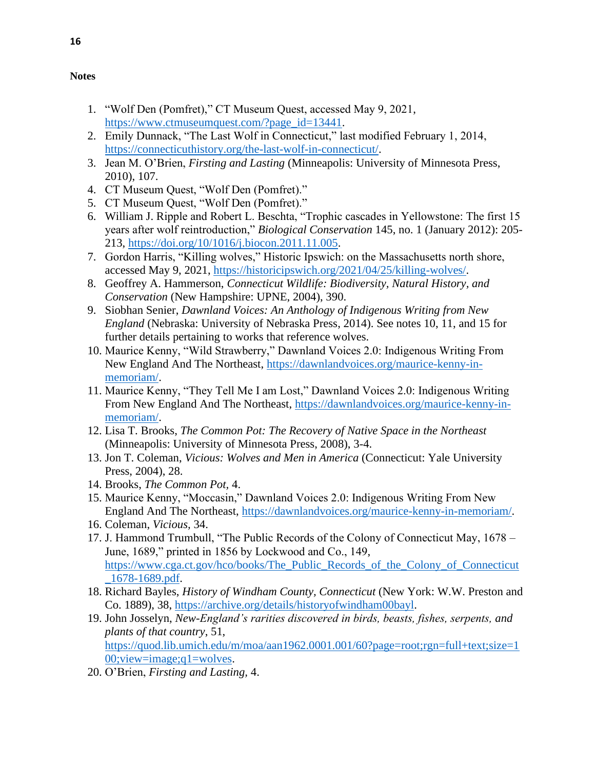#### **Notes**

- 1. "Wolf Den (Pomfret)," CT Museum Quest, accessed May 9, 2021, [https://www.ctmuseumquest.com/?page\\_id=13441.](https://www.ctmuseumquest.com/?page_id=13441)
- 2. Emily Dunnack, "The Last Wolf in Connecticut," last modified February 1, 2014, [https://connecticuthistory.org/the-last-wolf-in-connecticut/.](https://connecticuthistory.org/the-last-wolf-in-connecticut/)
- 3. Jean M. O'Brien, *Firsting and Lasting* (Minneapolis: University of Minnesota Press, 2010), 107.
- 4. CT Museum Quest, "Wolf Den (Pomfret)."
- 5. CT Museum Quest, "Wolf Den (Pomfret)."
- 6. William J. Ripple and Robert L. Beschta, "Trophic cascades in Yellowstone: The first 15 years after wolf reintroduction," *Biological Conservation* 145, no. 1 (January 2012): 205- 213, [https://doi.org/10/1016/j.biocon.2011.11.005.](https://doi.org/10/1016/j.biocon.2011.11.005)
- 7. Gordon Harris, "Killing wolves," Historic Ipswich: on the Massachusetts north shore, accessed May 9, 2021, [https://historicipswich.org/2021/04/25/killing-wolves/.](https://historicipswich.org/2021/04/25/killing-wolves/)
- 8. Geoffrey A. Hammerson, *Connecticut Wildlife: Biodiversity, Natural History, and Conservation* (New Hampshire: UPNE, 2004), 390.
- 9. Siobhan Senier, *Dawnland Voices: An Anthology of Indigenous Writing from New England* (Nebraska: University of Nebraska Press, 2014). See notes 10, 11, and 15 for further details pertaining to works that reference wolves.
- 10. Maurice Kenny, "Wild Strawberry," Dawnland Voices 2.0: Indigenous Writing From New England And The Northeast, [https://dawnlandvoices.org/maurice-kenny-in](https://dawnlandvoices.org/maurice-kenny-in-memoriam/)[memoriam/.](https://dawnlandvoices.org/maurice-kenny-in-memoriam/)
- 11. Maurice Kenny, "They Tell Me I am Lost," Dawnland Voices 2.0: Indigenous Writing From New England And The Northeast, [https://dawnlandvoices.org/maurice-kenny-in](https://dawnlandvoices.org/maurice-kenny-in-memoriam/)[memoriam/.](https://dawnlandvoices.org/maurice-kenny-in-memoriam/)
- 12. Lisa T. Brooks, *The Common Pot: The Recovery of Native Space in the Northeast*  (Minneapolis: University of Minnesota Press, 2008), 3-4.
- 13. Jon T. Coleman, *Vicious: Wolves and Men in America* (Connecticut: Yale University Press, 2004), 28.
- 14. Brooks, *The Common Pot,* 4.
- 15. Maurice Kenny, "Moccasin," Dawnland Voices 2.0: Indigenous Writing From New England And The Northeast, [https://dawnlandvoices.org/maurice-kenny-in-memoriam/.](https://dawnlandvoices.org/maurice-kenny-in-memoriam/)
- 16. Coleman, *Vicious,* 34.
- 17. J. Hammond Trumbull, "The Public Records of the Colony of Connecticut May, 1678 June, 1689," printed in 1856 by Lockwood and Co., 149, https://www.cga.ct.gov/hco/books/The Public Records of the Colony of Connecticut [\\_1678-1689.pdf.](https://www.cga.ct.gov/hco/books/The_Public_Records_of_the_Colony_of_Connecticut_1678-1689.pdf)
- 18. Richard Bayles, *History of Windham County, Connecticut* (New York: W.W. Preston and Co. 1889), 38, [https://archive.org/details/historyofwindham00bayl.](https://archive.org/details/historyofwindham00bayl)
- 19. John Josselyn, *New-England's rarities discovered in birds, beasts, fishes, serpents, and plants of that country*, 51, [https://quod.lib.umich.edu/m/moa/aan1962.0001.001/60?page=root;rgn=full+text;size=1](https://quod.lib.umich.edu/m/moa/aan1962.0001.001/60?page=root;rgn=full+text;size=100;view=image;q1=wolves) [00;view=image;q1=wolves.](https://quod.lib.umich.edu/m/moa/aan1962.0001.001/60?page=root;rgn=full+text;size=100;view=image;q1=wolves)
- 20. O'Brien, *Firsting and Lasting,* 4.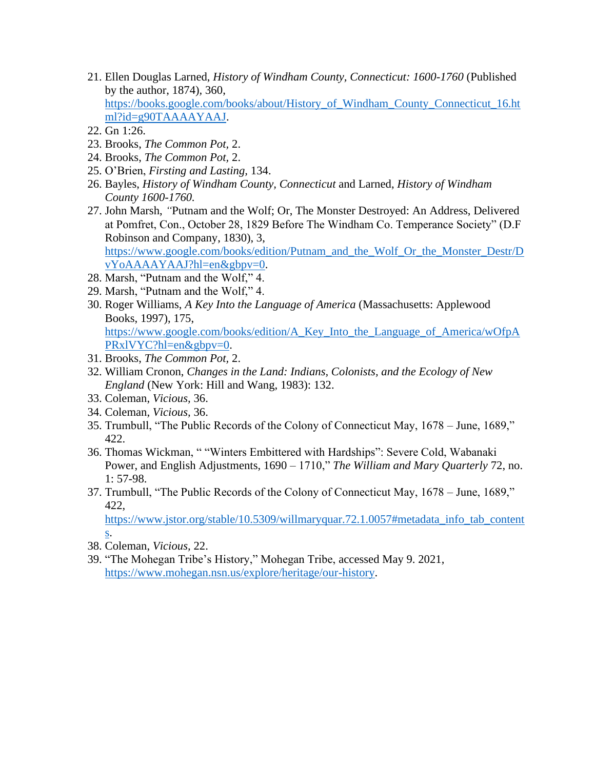- 21. Ellen Douglas Larned, *History of Windham County, Connecticut: 1600-1760* (Published by the author, 1874)*,* 360, [https://books.google.com/books/about/History\\_of\\_Windham\\_County\\_Connecticut\\_16.ht](https://books.google.com/books/about/History_of_Windham_County_Connecticut_16.html?id=g90TAAAAYAAJ) [ml?id=g90TAAAAYAAJ.](https://books.google.com/books/about/History_of_Windham_County_Connecticut_16.html?id=g90TAAAAYAAJ)
- 22. Gn 1:26.
- 23. Brooks, *The Common Pot,* 2.
- 24. Brooks, *The Common Pot,* 2.
- 25. O'Brien, *Firsting and Lasting,* 134.
- 26. Bayles, *History of Windham County, Connecticut* and Larned, *History of Windham County 1600-1760.*
- 27. John Marsh, *"*Putnam and the Wolf; Or, The Monster Destroyed: An Address, Delivered at Pomfret, Con., October 28, 1829 Before The Windham Co. Temperance Society" (D.F Robinson and Company, 1830), 3, [https://www.google.com/books/edition/Putnam\\_and\\_the\\_Wolf\\_Or\\_the\\_Monster\\_Destr/D](https://www.google.com/books/edition/Putnam_and_the_Wolf_Or_the_Monster_Destr/DvYoAAAAYAAJ?hl=en&gbpv=0)
- [vYoAAAAYAAJ?hl=en&gbpv=0.](https://www.google.com/books/edition/Putnam_and_the_Wolf_Or_the_Monster_Destr/DvYoAAAAYAAJ?hl=en&gbpv=0) 28. Marsh, "Putnam and the Wolf," 4.
- 29. Marsh, "Putnam and the Wolf," 4.
- 30. Roger Williams, *A Key Into the Language of America* (Massachusetts: Applewood Books, 1997), 175,

[https://www.google.com/books/edition/A\\_Key\\_Into\\_the\\_Language\\_of\\_America/wOfpA](https://www.google.com/books/edition/A_Key_Into_the_Language_of_America/wOfpAPRxlVYC?hl=en&gbpv=0) [PRxlVYC?hl=en&gbpv=0.](https://www.google.com/books/edition/A_Key_Into_the_Language_of_America/wOfpAPRxlVYC?hl=en&gbpv=0)

- 31. Brooks, *The Common Pot,* 2.
- 32. William Cronon, *Changes in the Land: Indians, Colonists, and the Ecology of New England* (New York: Hill and Wang, 1983): 132.
- 33. Coleman, *Vicious,* 36.
- 34. Coleman, *Vicious,* 36.
- 35. Trumbull, "The Public Records of the Colony of Connecticut May, 1678 June, 1689," 422.
- 36. Thomas Wickman, " "Winters Embittered with Hardships": Severe Cold, Wabanaki Power, and English Adjustments, 1690 – 1710," *The William and Mary Quarterly* 72, no. 1: 57-98.
- 37. Trumbull, "The Public Records of the Colony of Connecticut May, 1678 June, 1689," 422,

[https://www.jstor.org/stable/10.5309/willmaryquar.72.1.0057#metadata\\_info\\_tab\\_content](https://www.jstor.org/stable/10.5309/willmaryquar.72.1.0057#metadata_info_tab_contents) [s.](https://www.jstor.org/stable/10.5309/willmaryquar.72.1.0057#metadata_info_tab_contents)

- 38. Coleman, *Vicious,* 22.
- 39. "The Mohegan Tribe's History," Mohegan Tribe, accessed May 9. 2021, [https://www.mohegan.nsn.us/explore/heritage/our-history.](https://www.mohegan.nsn.us/explore/heritage/our-history)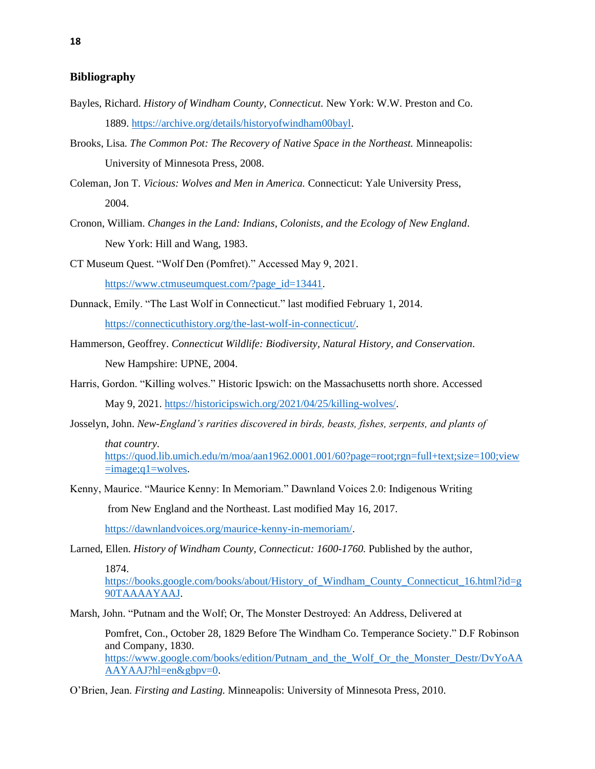### **Bibliography**

- Bayles, Richard. *History of Windham County, Connecticut.* New York: W.W. Preston and Co. 1889. [https://archive.org/details/historyofwindham00bayl.](https://archive.org/details/historyofwindham00bayl)
- Brooks, Lisa. *The Common Pot: The Recovery of Native Space in the Northeast.* Minneapolis: University of Minnesota Press, 2008.
- Coleman, Jon T. *Vicious: Wolves and Men in America.* Connecticut: Yale University Press, 2004.
- Cronon, William. *Changes in the Land: Indians, Colonists, and the Ecology of New England*. New York: Hill and Wang, 1983.

CT Museum Quest. "Wolf Den (Pomfret)." Accessed May 9, 2021.

[https://www.ctmuseumquest.com/?page\\_id=13441.](https://www.ctmuseumquest.com/?page_id=13441)

- Dunnack, Emily. "The Last Wolf in Connecticut." last modified February 1, 2014. [https://connecticuthistory.org/the-last-wolf-in-connecticut/.](https://connecticuthistory.org/the-last-wolf-in-connecticut/)
- Hammerson, Geoffrey. *Connecticut Wildlife: Biodiversity, Natural History, and Conservation.* New Hampshire: UPNE, 2004.
- Harris, Gordon. "Killing wolves." Historic Ipswich: on the Massachusetts north shore. Accessed May 9, 2021. [https://historicipswich.org/2021/04/25/killing-wolves/.](https://historicipswich.org/2021/04/25/killing-wolves/)
- Josselyn, John. *New-England's rarities discovered in birds, beasts, fishes, serpents, and plants of*

*that country*. [https://quod.lib.umich.edu/m/moa/aan1962.0001.001/60?page=root;rgn=full+text;size=100;view](https://quod.lib.umich.edu/m/moa/aan1962.0001.001/60?page=root;rgn=full+text;size=100;view=image;q1=wolves)  $=$ image;q $1$ =wolves.

Kenny, Maurice. "Maurice Kenny: In Memoriam." Dawnland Voices 2.0: Indigenous Writing from New England and the Northeast. Last modified May 16, 2017.

[https://dawnlandvoices.org/maurice-kenny-in-memoriam/.](https://dawnlandvoices.org/maurice-kenny-in-memoriam/)

Larned, Ellen. *History of Windham County, Connecticut: 1600-1760.* Published by the author,

1874.

https://books.google.com/books/about/History of Windham County Connecticut 16.html?id=g [90TAAAAYAAJ.](https://books.google.com/books/about/History_of_Windham_County_Connecticut_16.html?id=g90TAAAAYAAJ)

Marsh, John. "Putnam and the Wolf; Or, The Monster Destroyed: An Address, Delivered at

Pomfret, Con., October 28, 1829 Before The Windham Co. Temperance Society." D.F Robinson and Company, 1830. [https://www.google.com/books/edition/Putnam\\_and\\_the\\_Wolf\\_Or\\_the\\_Monster\\_Destr/DvYoAA](https://www.google.com/books/edition/Putnam_and_the_Wolf_Or_the_Monster_Destr/DvYoAAAAYAAJ?hl=en&gbpv=0) [AAYAAJ?hl=en&gbpv=0.](https://www.google.com/books/edition/Putnam_and_the_Wolf_Or_the_Monster_Destr/DvYoAAAAYAAJ?hl=en&gbpv=0)

O'Brien, Jean. *Firsting and Lasting.* Minneapolis: University of Minnesota Press, 2010.